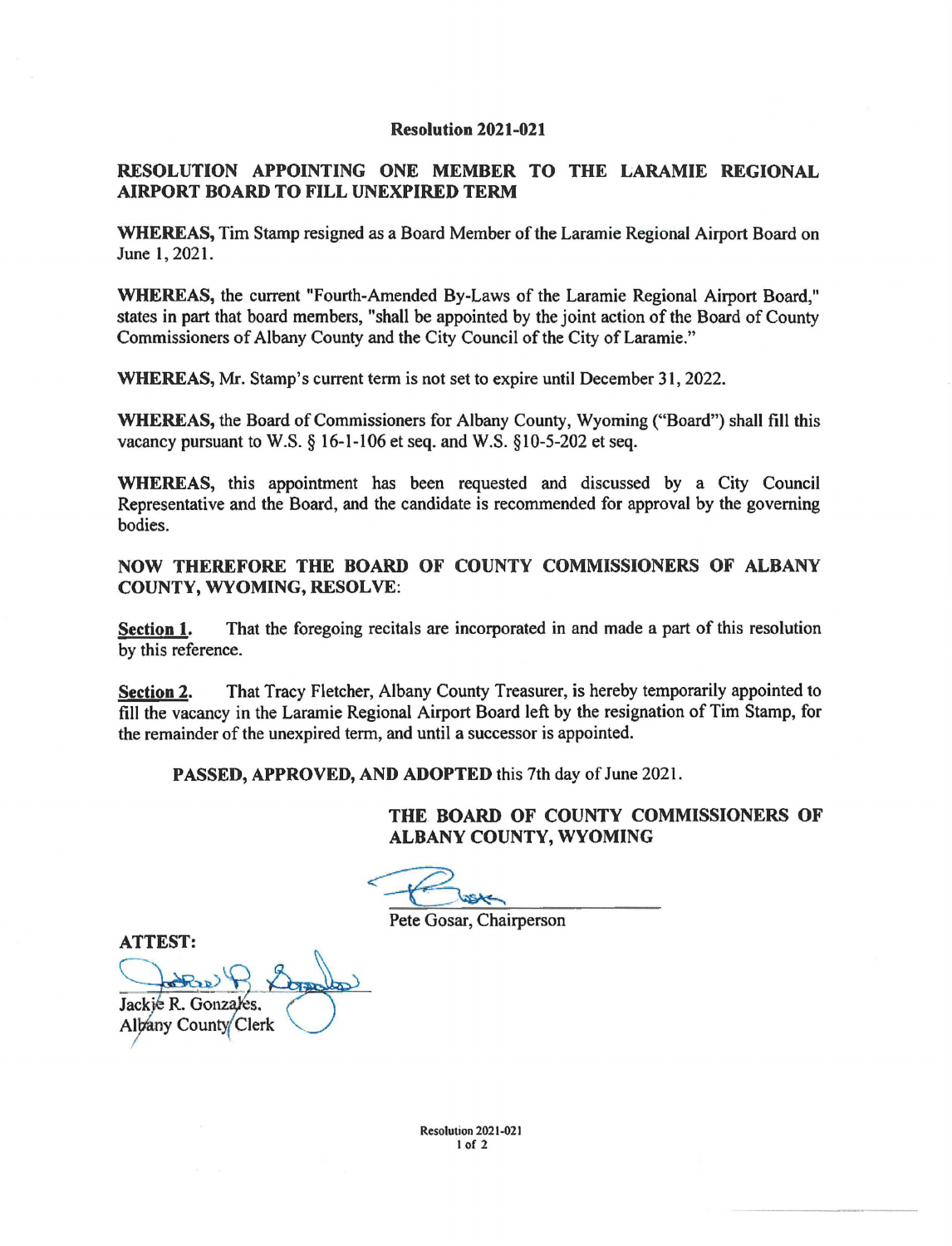## **Resolution 2021-021**

## **RESOLUTION APPOINTING ONE MEMBER TO THE LARAMIE REGIONAL AIRPORT BOARD TO FILL UNEXPIRED TERM**

**WHEREAS,** Tim Stamp resigned as a Board Member of the Laramie Regional Airport Board on June 1, 2021.

**WHEREAS,** the current "Fourth-Amended By-Laws of the Laramie Regional Airport Board," states in part that board members, "shall be appointed by the joint action of the Board of County Commissioners of Albany County and the City Council of the City of Laramie."

**WHEREAS,** Mr. Stamp's current term is not set to expire until December 31, 2022.

**WHEREAS,** the Board of Commissioners for Albany County, Wyoming ("Board") shall fill this vacancy pursuant to W.S. § 16-1-106 et seq. and W.S. § 10-5-202 et seq.

**WHEREAS,** this appointment has been requested and discussed by a City Council Representative and the Board, and the candidate is recommended for approval by the governing bodies.

## **NOW THEREFORE THE BOARD OF COUNTY COMMISSIONERS OF ALBANY COUNTY, WYOMING, RESOLVE:**

**Section 1.** That the foregoing recitals are incorporated in and made a part of this resolution by this reference.

**Section 2.** That Tracy Fletcher, Albany County Treasurer, is hereby temporarily appointed to fill the vacancy in the Laramie Regional Airport Board left by the resignation of Tim Stamp, for the remainder of the unexpired term, and until a successor is appointed.

PASSED, APPROVED, AND ADOPTED this 7th day of June 2021.

**THE. BOARD OF COUNTY COMMISSIONERS OF ALBANY COUNTY, WYOMING** 

Pete Gosar, Chairperson

Jackie R. Gonzales. ATTEST:<br>Jackie R. Gonzales.<br>Albany County Clerk Albany County Clerk